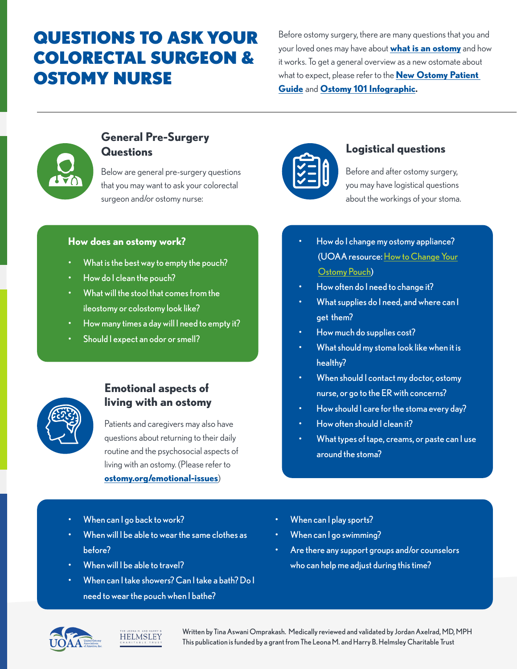# QUESTIONS TO ASK YOUR COLORECTAL SURGEON & OSTOMY NURSE

Before ostomy surgery, there are many questions that you and your loved ones may have about **[what is an ostomy](https://www.ostomy.org/what-is-an-ostomy/)** and how it works. To get a general overview as a new ostomate about what to expect, please refer to the **[New Ostomy Patient](https://www.ostomy.org/wp-content/uploads/2020/08/UOAA-New-Ostomy-Patient-Guide-2020.pdf)  [Guide](https://www.ostomy.org/wp-content/uploads/2020/08/UOAA-New-Ostomy-Patient-Guide-2020.pdf)** and **[Ostomy 101 Infographic](https://www.ostomy.org/wp-content/uploads/2019/03/ostomy_infographic_20170812.pdf).**



# **General Pre-Surgery Questions Logistical questions**

Below are general pre-surgery questions that you may want to ask your colorectal surgeon and/or ostomy nurse:

### **How does an ostomy work?**

- What is the best way to empty the pouch?
- How do I clean the pouch?
- What will the stool that comes from the ileostomy or colostomy look like?
- How many times a day will I need to empty it?
- Should I expect an odor or smell?



# **Emotional aspects of living with an ostomy**

Patients and caregivers may also have questions about returning to their daily routine and the psychosocial aspects of living with an ostomy. (Please refer to **[ostomy.org/emotional-issues](http://ostomy.org/emotional-issues)**)



- When will I be able to wear the same clothes as before?
- When will I be able to travel?
- When can I take showers? Can I take a bath? Do I need to wear the pouch when I bathe?



Before and after ostomy surgery, you may have logistical questions about the workings of your stoma.

- How do I change my ostomy appliance? (UOAA resource: [How to Change Your](https://www.ostomy.org/change-ostomy-pouch/)   [Ostomy Pouch](https://www.ostomy.org/change-ostomy-pouch/))
- How often do I need to change it?
- What supplies do I need, and where can I get them?
- How much do supplies cost?
- What should my stoma look like when it is healthy?
- When should I contact my doctor, ostomy nurse, or go to the ER with concerns?
- How should I care for the stoma every day?
- How often should I clean it?
- What types of tape, creams, or paste can luse around the stoma?
- When can I play sports?
- When can I go swimming?
- Are there any support groups and/or counselors who can help me adjust during this time?





Written by Tina Aswani Omprakash. Medically reviewed and validated by Jordan Axelrad, MD, MPH This publication is funded by a grant from The Leona M. and Harry B. Helmsley Charitable Trust